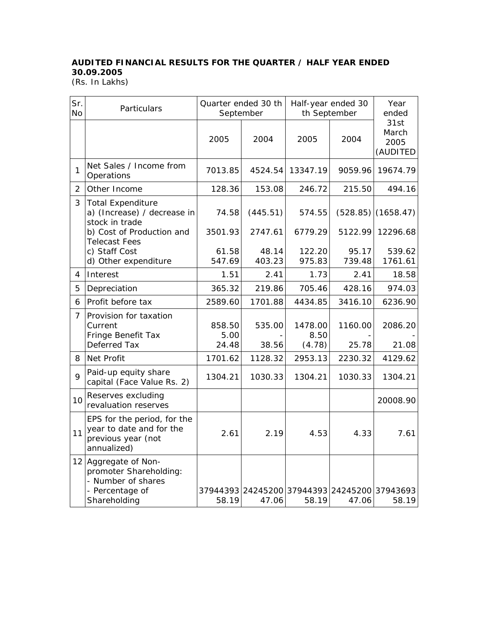## **AUDITED FINANCIAL RESULTS FOR THE QUARTER / HALF YEAR ENDED 30.09.2005**

(Rs. In Lakhs)

| Sr.<br><b>No</b> | Particulars                                                                                             | Quarter ended 30 th<br>September |                 | Half-year ended 30<br>th September           |                 | Year<br>ended                     |  |
|------------------|---------------------------------------------------------------------------------------------------------|----------------------------------|-----------------|----------------------------------------------|-----------------|-----------------------------------|--|
|                  |                                                                                                         | 2005                             | 2004            | 2005                                         | 2004            | 31st<br>March<br>2005<br>(AUDITED |  |
| $\mathbf{1}$     | Net Sales / Income from<br>Operations                                                                   | 7013.85                          | 4524.54         | 13347.19                                     | 9059.96         | 19674.79                          |  |
| $\overline{2}$   | Other Income                                                                                            | 128.36                           | 153.08          | 246.72                                       | 215.50          | 494.16                            |  |
| 3                | <b>Total Expenditure</b><br>a) (Increase) / decrease in<br>stock in trade                               | 74.58                            | (445.51)        | 574.55                                       | (528.85)        | (1658.47)                         |  |
|                  | b) Cost of Production and<br><b>Telecast Fees</b>                                                       | 3501.93                          | 2747.61         | 6779.29                                      | 5122.99         | 12296.68                          |  |
|                  | c) Staff Cost<br>d) Other expenditure                                                                   | 61.58<br>547.69                  | 48.14<br>403.23 | 122.20<br>975.83                             | 95.17<br>739.48 | 539.62<br>1761.61                 |  |
| $\overline{4}$   | Interest                                                                                                | 1.51                             | 2.41            | 1.73                                         | 2.41            | 18.58                             |  |
| 5                | Depreciation                                                                                            | 365.32                           | 219.86          | 705.46                                       | 428.16          | 974.03                            |  |
| 6                | Profit before tax                                                                                       | 2589.60                          | 1701.88         | 4434.85                                      | 3416.10         | 6236.90                           |  |
| 7                | Provision for taxation<br>Current<br>Fringe Benefit Tax                                                 | 858.50<br>5.00                   | 535.00          | 1478.00<br>8.50                              | 1160.00         | 2086.20                           |  |
|                  | Deferred Tax                                                                                            | 24.48                            | 38.56           | (4.78)                                       | 25.78           | 21.08                             |  |
| 8                | Net Profit                                                                                              | 1701.62                          | 1128.32         | 2953.13                                      | 2230.32         | 4129.62                           |  |
| 9                | Paid-up equity share<br>capital (Face Value Rs. 2)                                                      | 1304.21                          | 1030.33         | 1304.21                                      | 1030.33         | 1304.21                           |  |
| 10               | Reserves excluding<br>revaluation reserves                                                              |                                  |                 |                                              |                 | 20008.90                          |  |
| 11               | EPS for the period, for the<br>year to date and for the<br>previous year (not<br>annualized)            | 2.61                             | 2.19            | 4.53                                         | 4.33            | 7.61                              |  |
|                  | 12 Aggregate of Non-<br>promoter Shareholding:<br>- Number of shares<br>- Percentage of<br>Shareholding | 58.19                            | 47.06           | 37944393 24245200 37944393 24245200<br>58.19 | 47.06           | 37943693<br>58.19                 |  |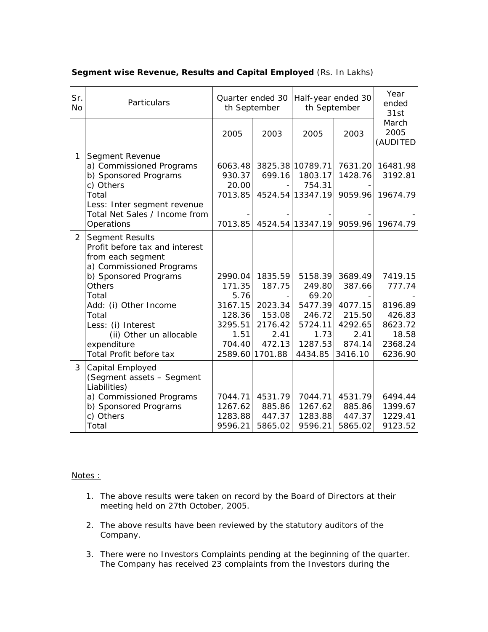| Sr.<br><b>No</b> | Particulars                                                                                                                                                                                                                                                                               | Quarter ended 30<br>th September                                            |                                                                                        | Half-year ended 30<br>th September                                                       |                                                                                | Year<br>ended<br>31st                                                            |
|------------------|-------------------------------------------------------------------------------------------------------------------------------------------------------------------------------------------------------------------------------------------------------------------------------------------|-----------------------------------------------------------------------------|----------------------------------------------------------------------------------------|------------------------------------------------------------------------------------------|--------------------------------------------------------------------------------|----------------------------------------------------------------------------------|
|                  |                                                                                                                                                                                                                                                                                           | 2005                                                                        | 2003                                                                                   | 2005                                                                                     | 2003                                                                           | March<br>2005<br>(AUDITED                                                        |
| 1                | Segment Revenue<br>a) Commissioned Programs<br>b) Sponsored Programs<br>c) Others<br>Total<br>Less: Inter segment revenue<br>Total Net Sales / Income from<br>Operations                                                                                                                  | 6063.48<br>930.37<br>20.00<br>7013.85<br>7013.85                            | 699.16                                                                                 | 3825.38 10789.71<br>1803.17<br>754.31<br>4524.54 13347.19<br>4524.54 13347.19            | 7631.20<br>1428.76<br>9059.96<br>9059.96                                       | 16481.98<br>3192.81<br>19674.79<br>19674.79                                      |
| $\overline{2}$   | <b>Segment Results</b><br>Profit before tax and interest<br>from each segment<br>a) Commissioned Programs<br>b) Sponsored Programs<br><b>Others</b><br>Total<br>Add: (i) Other Income<br>Total<br>Less: (i) Interest<br>(ii) Other un allocable<br>expenditure<br>Total Profit before tax | 2990.04<br>171.35<br>5.76<br>3167.15<br>128.36<br>3295.51<br>1.51<br>704.40 | 1835.59<br>187.75<br>2023.34<br>153.08<br>2176.42<br>2.41<br>472.13<br>2589.60 1701.88 | 5158.39<br>249.80<br>69.20<br>5477.39<br>246.72<br>5724.11<br>1.73<br>1287.53<br>4434.85 | 3689.49<br>387.66<br>4077.15<br>215.50<br>4292.65<br>2.41<br>874.14<br>3416.10 | 7419.15<br>777.74<br>8196.89<br>426.83<br>8623.72<br>18.58<br>2368.24<br>6236.90 |
| 3                | Capital Employed<br>(Segment assets - Segment<br>Liabilities)<br>a) Commissioned Programs<br>b) Sponsored Programs<br>c) Others<br>Total                                                                                                                                                  | 7044.71<br>1267.62<br>1283.88<br>9596.21                                    | 4531.79<br>885.86<br>447.37<br>5865.02                                                 | 7044.71<br>1267.62<br>1283.88<br>9596.21                                                 | 4531.79<br>885.86<br>447.37<br>5865.02                                         | 6494.44<br>1399.67<br>1229.41<br>9123.52                                         |

## **Segment wise Revenue, Results and Capital Employed** (Rs. In Lakhs)

## Notes :

- 1. The above results were taken on record by the Board of Directors at their meeting held on 27th October, 2005.
- 2. The above results have been reviewed by the statutory auditors of the Company.
- 3. There were no Investors Complaints pending at the beginning of the quarter. The Company has received 23 complaints from the Investors during the